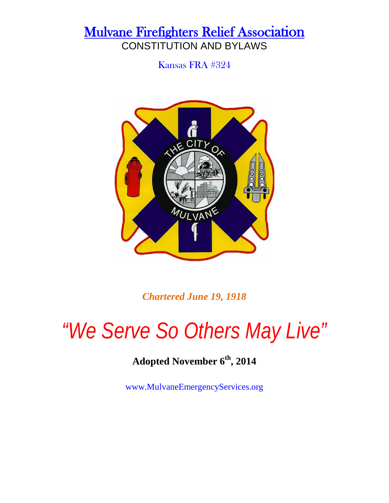Kansas FRA #324



*Chartered June 19, 1918*

# *"We Serve So Others May Live"*

### **Adopted November 6th, 2014**

www.MulvaneEmergencyServices.org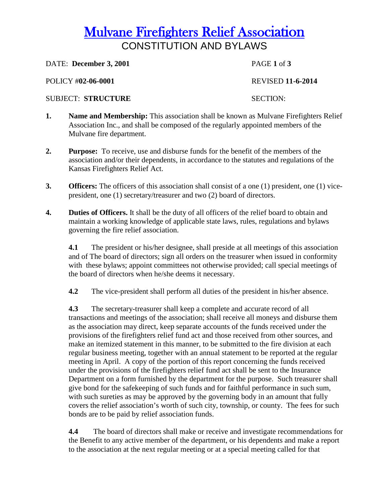**DATE: December 3, 2001 PAGE 1 of 3** 

POLICY #**02-06-0001** REVISED **11-6-2014**

#### SUBJECT: **STRUCTURE** SECTION:

- **1. Name and Membership:** This association shall be known as Mulvane Firefighters Relief Association Inc., and shall be composed of the regularly appointed members of the Mulvane fire department.
- **2. Purpose:** To receive, use and disburse funds for the benefit of the members of the association and/or their dependents, in accordance to the statutes and regulations of the Kansas Firefighters Relief Act.
- **3. Officers:** The officers of this association shall consist of a one (1) president, one (1) vicepresident, one (1) secretary/treasurer and two (2) board of directors.
- **4. Duties of Officers.** It shall be the duty of all officers of the relief board to obtain and maintain a working knowledge of applicable state laws, rules, regulations and bylaws governing the fire relief association.

**4.1** The president or his/her designee, shall preside at all meetings of this association and of The board of directors; sign all orders on the treasurer when issued in conformity with these bylaws; appoint committees not otherwise provided; call special meetings of the board of directors when he/she deems it necessary.

**4.2** The vice-president shall perform all duties of the president in his/her absence.

**4.3** The secretary-treasurer shall keep a complete and accurate record of all transactions and meetings of the association; shall receive all moneys and disburse them as the association may direct, keep separate accounts of the funds received under the provisions of the firefighters relief fund act and those received from other sources, and make an itemized statement in this manner, to be submitted to the fire division at each regular business meeting, together with an annual statement to be reported at the regular meeting in April. A copy of the portion of this report concerning the funds received under the provisions of the firefighters relief fund act shall be sent to the Insurance Department on a form furnished by the department for the purpose. Such treasurer shall give bond for the safekeeping of such funds and for faithful performance in such sum, with such sureties as may be approved by the governing body in an amount that fully covers the relief association's worth of such city, township, or county. The fees for such bonds are to be paid by relief association funds.

**4.4** The board of directors shall make or receive and investigate recommendations for the Benefit to any active member of the department, or his dependents and make a report to the association at the next regular meeting or at a special meeting called for that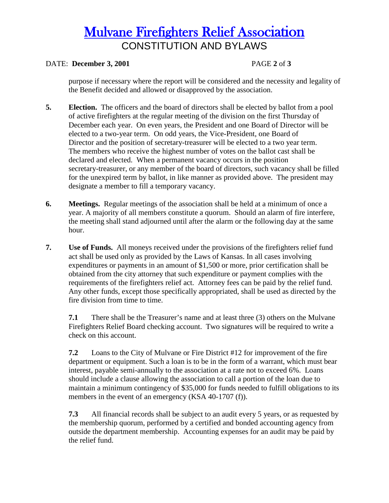#### DATE: **December 3, 2001** PAGE **2** of **3**

purpose if necessary where the report will be considered and the necessity and legality of the Benefit decided and allowed or disapproved by the association.

- **5. Election.** The officers and the board of directors shall be elected by ballot from a pool of active firefighters at the regular meeting of the division on the first Thursday of December each year. On even years, the President and one Board of Director will be elected to a two-year term. On odd years, the Vice-President, one Board of Director and the position of secretary-treasurer will be elected to a two year term. The members who receive the highest number of votes on the ballot cast shall be declared and elected. When a permanent vacancy occurs in the position secretary-treasurer, or any member of the board of directors, such vacancy shall be filled for the unexpired term by ballot, in like manner as provided above. The president may designate a member to fill a temporary vacancy.
- **6. Meetings.** Regular meetings of the association shall be held at a minimum of once a year. A majority of all members constitute a quorum. Should an alarm of fire interfere, the meeting shall stand adjourned until after the alarm or the following day at the same hour.
- **7. Use of Funds.** All moneys received under the provisions of the firefighters relief fund act shall be used only as provided by the Laws of Kansas. In all cases involving expenditures or payments in an amount of \$1,500 or more, prior certification shall be obtained from the city attorney that such expenditure or payment complies with the requirements of the firefighters relief act. Attorney fees can be paid by the relief fund. Any other funds, except those specifically appropriated, shall be used as directed by the fire division from time to time.

**7.1** There shall be the Treasurer's name and at least three (3) others on the Mulvane Firefighters Relief Board checking account. Two signatures will be required to write a check on this account.

**7.2** Loans to the City of Mulvane or Fire District #12 for improvement of the fire department or equipment. Such a loan is to be in the form of a warrant, which must bear interest, payable semi-annually to the association at a rate not to exceed 6%. Loans should include a clause allowing the association to call a portion of the loan due to maintain a minimum contingency of \$35,000 for funds needed to fulfill obligations to its members in the event of an emergency (KSA 40-1707 (f)).

**7.3** All financial records shall be subject to an audit every 5 years, or as requested by the membership quorum, performed by a certified and bonded accounting agency from outside the department membership. Accounting expenses for an audit may be paid by the relief fund.